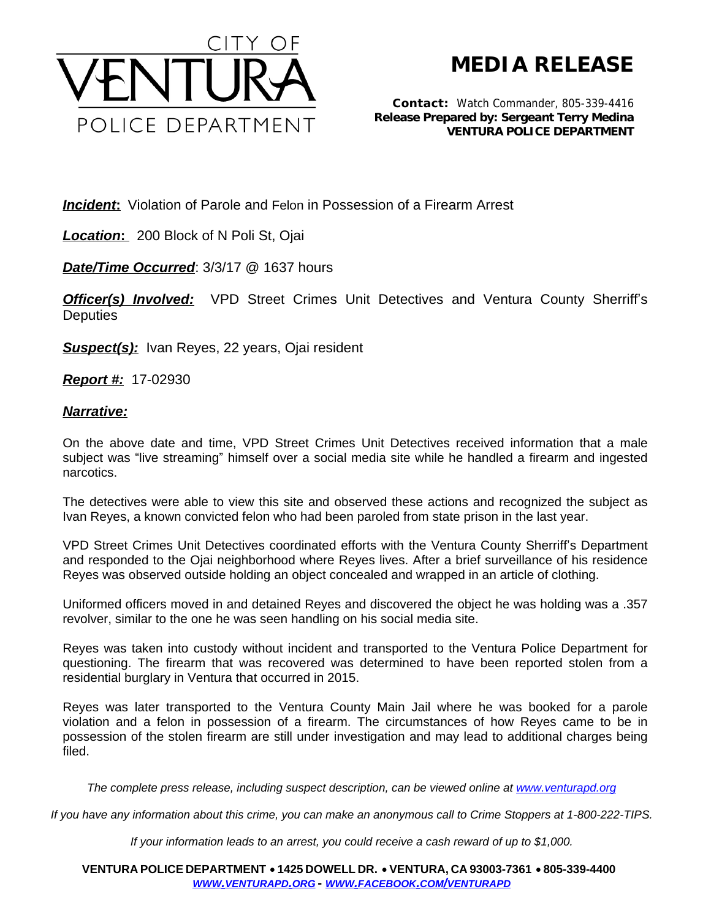

## **MEDIA RELEASE**

*Contact:* Watch Commander, 805-339-4416 *Release Prepared by: Sergeant Terry Medina* **VENTURA POLICE DEPARTMENT**

*Incident:* Violation of Parole and Felon in Possession of a Firearm Arrest

*Location***:** 200 Block of N Poli St, Ojai

*Date/Time Occurred*: 3/3/17 @ 1637 hours

**Officer(s) Involved:** VPD Street Crimes Unit Detectives and Ventura County Sherriff's **Deputies** 

*Suspect(s):* Ivan Reyes, 22 years, Ojai resident

*Report #:* 17-02930

## *Narrative:*

On the above date and time, VPD Street Crimes Unit Detectives received information that a male subject was "live streaming" himself over a social media site while he handled a firearm and ingested narcotics.

The detectives were able to view this site and observed these actions and recognized the subject as Ivan Reyes, a known convicted felon who had been paroled from state prison in the last year.

VPD Street Crimes Unit Detectives coordinated efforts with the Ventura County Sherriff's Department and responded to the Ojai neighborhood where Reyes lives. After a brief surveillance of his residence Reyes was observed outside holding an object concealed and wrapped in an article of clothing.

Uniformed officers moved in and detained Reyes and discovered the object he was holding was a .357 revolver, similar to the one he was seen handling on his social media site.

Reyes was taken into custody without incident and transported to the Ventura Police Department for questioning. The firearm that was recovered was determined to have been reported stolen from a residential burglary in Ventura that occurred in 2015.

Reyes was later transported to the Ventura County Main Jail where he was booked for a parole violation and a felon in possession of a firearm. The circumstances of how Reyes came to be in possession of the stolen firearm are still under investigation and may lead to additional charges being filed.

*The complete press release, including suspect description, can be viewed online at [www.venturapd.org](http://www.venturapd.org)* 

*If you have any information about this crime, you can make an anonymous call to Crime Stoppers at 1-800-222-TIPS.*

*If your information leads to an arrest, you could receive a cash reward of up to \$1,000.*

**VENTURA POLICE DEPARTMENT** ·**1425 DOWELL DR.** · **VENTURA, CA 93003-7361** ·**805-339-4400**  *WWW.[VENTURAPD](http://www.venturapd.org).ORG* **-** *WWW.FACEBOOK.COM/[VENTURAPD](http://www.facebook.com/venturapd)*